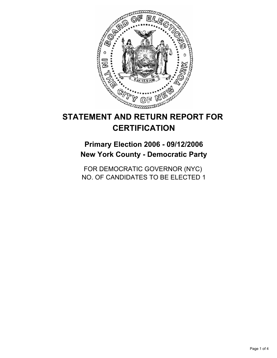

# **STATEMENT AND RETURN REPORT FOR CERTIFICATION**

**Primary Election 2006 - 09/12/2006 New York County - Democratic Party**

FOR DEMOCRATIC GOVERNOR (NYC) NO. OF CANDIDATES TO BE ELECTED 1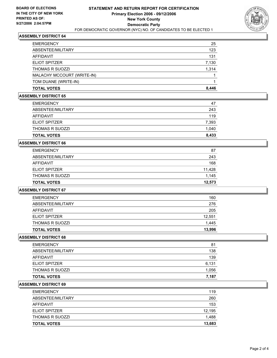

## **ASSEMBLY DISTRICT 64**

| <b>TOTAL VOTES</b>         | 8,446 |
|----------------------------|-------|
| TOM DUANE (WRITE-IN)       |       |
| MALACHY MCCOURT (WRITE-IN) |       |
| <b>THOMAS R SUOZZI</b>     | 1,314 |
| <b>ELIOT SPITZER</b>       | 7,130 |
| AFFIDAVIT                  | 131   |
| ABSENTEE/MILITARY          | 123   |
| <b>EMERGENCY</b>           | 25    |

## **ASSEMBLY DISTRICT 65**

| <b>EMERGENCY</b>       | 47    |
|------------------------|-------|
| ABSENTEE/MILITARY      | 243   |
| <b>AFFIDAVIT</b>       | 119   |
| ELIOT SPITZER          | 7,393 |
| <b>THOMAS R SUOZZI</b> | 1,040 |
| <b>TOTAL VOTES</b>     | 8,433 |

# **ASSEMBLY DISTRICT 66**

| <b>TOTAL VOTES</b>     | 12,573 |
|------------------------|--------|
|                        |        |
| <b>THOMAS R SUOZZI</b> | 1,145  |
| <b>ELIOT SPITZER</b>   | 11,428 |
| <b>AFFIDAVIT</b>       | 168    |
| ABSENTEE/MILITARY      | 243    |
| <b>EMERGENCY</b>       | 87     |

## **ASSEMBLY DISTRICT 67**

| <b>TOTAL VOTES</b>     | 13,996 |
|------------------------|--------|
| <b>THOMAS R SUOZZI</b> | 1,445  |
| <b>ELIOT SPITZER</b>   | 12,551 |
| AFFIDAVIT              | 205    |
| ABSENTEE/MILITARY      | 276    |
| EMERGENCY              | 160    |

## **ASSEMBLY DISTRICT 68**

| <b>EMERGENCY</b>       | 81    |
|------------------------|-------|
| ABSENTEE/MILITARY      | 138   |
| AFFIDAVIT              | 139   |
| <b>ELIOT SPITZER</b>   | 6,131 |
| <b>THOMAS R SUOZZI</b> | 1,056 |
| <b>TOTAL VOTES</b>     | 7,187 |

# **ASSEMBLY DISTRICT 69**

| <b>TOTAL VOTES</b>     | 13,683 |
|------------------------|--------|
| <b>THOMAS R SUOZZI</b> | 1,488  |
| ELIOT SPITZER          | 12,195 |
| AFFIDAVIT              | 153    |
| ABSENTEE/MILITARY      | 260    |
| <b>EMERGENCY</b>       | 119    |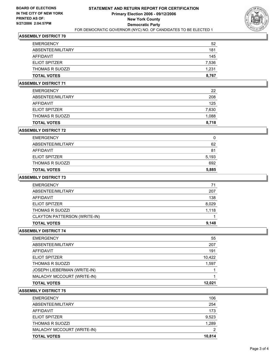

## **ASSEMBLY DISTRICT 70**

| <b>EMERGENCY</b>       | 52    |  |
|------------------------|-------|--|
| ABSENTEE/MILITARY      | 181   |  |
| AFFIDAVIT              | 145   |  |
| <b>ELIOT SPITZER</b>   | 7,536 |  |
| <b>THOMAS R SUOZZI</b> | 1,231 |  |
| <b>TOTAL VOTES</b>     | 8,767 |  |

# **ASSEMBLY DISTRICT 71**

| <b>TOTAL VOTES</b>     | 8,718 |
|------------------------|-------|
| <b>THOMAS R SUOZZI</b> | 1,088 |
| <b>ELIOT SPITZER</b>   | 7,630 |
| AFFIDAVIT              | 125   |
| ABSENTEE/MILITARY      | 208   |
| <b>EMERGENCY</b>       | 22    |

## **ASSEMBLY DISTRICT 72**

| <b>TOTAL VOTES</b>     | 5,885 |
|------------------------|-------|
| <b>THOMAS R SUOZZI</b> | 692   |
| <b>ELIOT SPITZER</b>   | 5,193 |
| AFFIDAVIT              | 81    |
| ABSENTEE/MILITARY      | 62    |
| <b>EMERGENCY</b>       |       |

# **ASSEMBLY DISTRICT 73**

| 71    |
|-------|
| 207   |
| 138   |
| 8,029 |
| 1,118 |
|       |
| 9,148 |
|       |

## **ASSEMBLY DISTRICT 74**

| <b>EMERGENCY</b>            | 55     |
|-----------------------------|--------|
| ABSENTEE/MILITARY           | 207    |
| AFFIDAVIT                   | 191    |
| <b>ELIOT SPITZER</b>        | 10,422 |
| <b>THOMAS R SUOZZI</b>      | 1,597  |
| JOSEPH LIEBERMAN (WRITE-IN) |        |
| MALACHY MCCOURT (WRITE-IN)  |        |
| <b>TOTAL VOTES</b>          | 12.021 |

## **ASSEMBLY DISTRICT 75**

| <b>EMERGENCY</b>           | 106    |
|----------------------------|--------|
| ABSENTEE/MILITARY          | 254    |
| AFFIDAVIT                  | 173    |
| <b>ELIOT SPITZER</b>       | 9,523  |
| <b>THOMAS R SUOZZI</b>     | 1,289  |
| MALACHY MCCOURT (WRITE-IN) | 2      |
| <b>TOTAL VOTES</b>         | 10,814 |